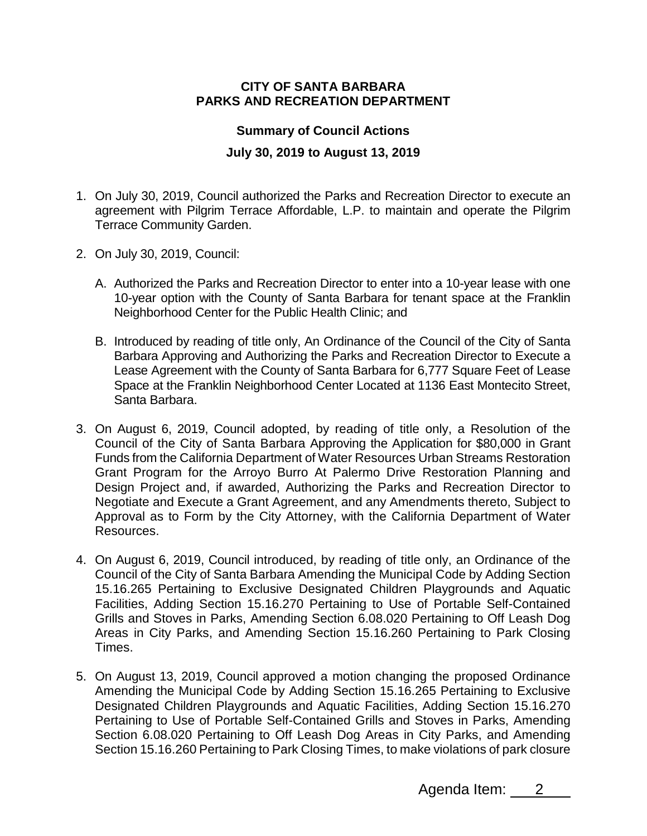## **CITY OF SANTA BARBARA PARKS AND RECREATION DEPARTMENT**

## **Summary of Council Actions**

## **July 30, 2019 to August 13, 2019**

- 1. On July 30, 2019, Council authorized the Parks and Recreation Director to execute an agreement with Pilgrim Terrace Affordable, L.P. to maintain and operate the Pilgrim Terrace Community Garden.
- 2. On July 30, 2019, Council:
	- A. Authorized the Parks and Recreation Director to enter into a 10-year lease with one 10-year option with the County of Santa Barbara for tenant space at the Franklin Neighborhood Center for the Public Health Clinic; and
	- B. Introduced by reading of title only, An Ordinance of the Council of the City of Santa Barbara Approving and Authorizing the Parks and Recreation Director to Execute a Lease Agreement with the County of Santa Barbara for 6,777 Square Feet of Lease Space at the Franklin Neighborhood Center Located at 1136 East Montecito Street, Santa Barbara.
- 3. On August 6, 2019, Council adopted, by reading of title only, a Resolution of the Council of the City of Santa Barbara Approving the Application for \$80,000 in Grant Funds from the California Department of Water Resources Urban Streams Restoration Grant Program for the Arroyo Burro At Palermo Drive Restoration Planning and Design Project and, if awarded, Authorizing the Parks and Recreation Director to Negotiate and Execute a Grant Agreement, and any Amendments thereto, Subject to Approval as to Form by the City Attorney, with the California Department of Water Resources.
- 4. On August 6, 2019, Council introduced, by reading of title only, an Ordinance of the Council of the City of Santa Barbara Amending the Municipal Code by Adding Section 15.16.265 Pertaining to Exclusive Designated Children Playgrounds and Aquatic Facilities, Adding Section 15.16.270 Pertaining to Use of Portable Self-Contained Grills and Stoves in Parks, Amending Section 6.08.020 Pertaining to Off Leash Dog Areas in City Parks, and Amending Section 15.16.260 Pertaining to Park Closing Times.
- 5. On August 13, 2019, Council approved a motion changing the proposed Ordinance Amending the Municipal Code by Adding Section 15.16.265 Pertaining to Exclusive Designated Children Playgrounds and Aquatic Facilities, Adding Section 15.16.270 Pertaining to Use of Portable Self-Contained Grills and Stoves in Parks, Amending Section 6.08.020 Pertaining to Off Leash Dog Areas in City Parks, and Amending Section 15.16.260 Pertaining to Park Closing Times, to make violations of park closure

Agenda Item: 2